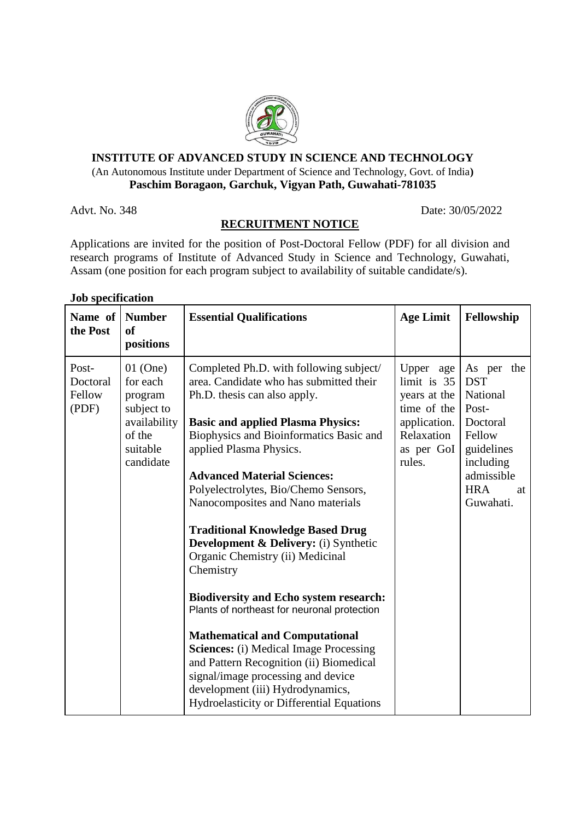

## **INSTITUTE OF ADVANCED STUDY IN SCIENCE AND TECHNOLOGY** (An Autonomous Institute under Department of Science and Technology, Govt. of India**) Paschim Boragaon, Garchuk, Vigyan Path, Guwahati-781035**

Advt. No. 348 Date: 30/05/2022

# **RECRUITMENT NOTICE**

Applications are invited for the position of Post-Doctoral Fellow (PDF) for all division and research programs of Institute of Advanced Study in Science and Technology, Guwahati, Assam (one position for each program subject to availability of suitable candidate/s).

#### **Job specification**

| Name of<br>the Post                  | <b>Number</b><br><sub>of</sub><br>positions                                                        | <b>Essential Qualifications</b>                                                                                                                                                                                                                                                                                                                                                                                                                                                                                                                                                                                                                                                                                                                                                                                                                                 | <b>Age Limit</b>                                                                                              | Fellowship                                                                                                                                    |
|--------------------------------------|----------------------------------------------------------------------------------------------------|-----------------------------------------------------------------------------------------------------------------------------------------------------------------------------------------------------------------------------------------------------------------------------------------------------------------------------------------------------------------------------------------------------------------------------------------------------------------------------------------------------------------------------------------------------------------------------------------------------------------------------------------------------------------------------------------------------------------------------------------------------------------------------------------------------------------------------------------------------------------|---------------------------------------------------------------------------------------------------------------|-----------------------------------------------------------------------------------------------------------------------------------------------|
| Post-<br>Doctoral<br>Fellow<br>(PDF) | $01$ (One)<br>for each<br>program<br>subject to<br>availability<br>of the<br>suitable<br>candidate | Completed Ph.D. with following subject/<br>area. Candidate who has submitted their<br>Ph.D. thesis can also apply.<br><b>Basic and applied Plasma Physics:</b><br>Biophysics and Bioinformatics Basic and<br>applied Plasma Physics.<br><b>Advanced Material Sciences:</b><br>Polyelectrolytes, Bio/Chemo Sensors,<br>Nanocomposites and Nano materials<br><b>Traditional Knowledge Based Drug</b><br>Development & Delivery: (i) Synthetic<br>Organic Chemistry (ii) Medicinal<br>Chemistry<br><b>Biodiversity and Echo system research:</b><br>Plants of northeast for neuronal protection<br><b>Mathematical and Computational</b><br><b>Sciences:</b> (i) Medical Image Processing<br>and Pattern Recognition (ii) Biomedical<br>signal/image processing and device<br>development (iii) Hydrodynamics,<br><b>Hydroelasticity or Differential Equations</b> | Upper age<br>limit is 35<br>years at the<br>time of the<br>application.<br>Relaxation<br>as per GoI<br>rules. | As per the<br><b>DST</b><br>National<br>Post-<br>Doctoral<br>Fellow<br>guidelines<br>including<br>admissible<br><b>HRA</b><br>at<br>Guwahati. |